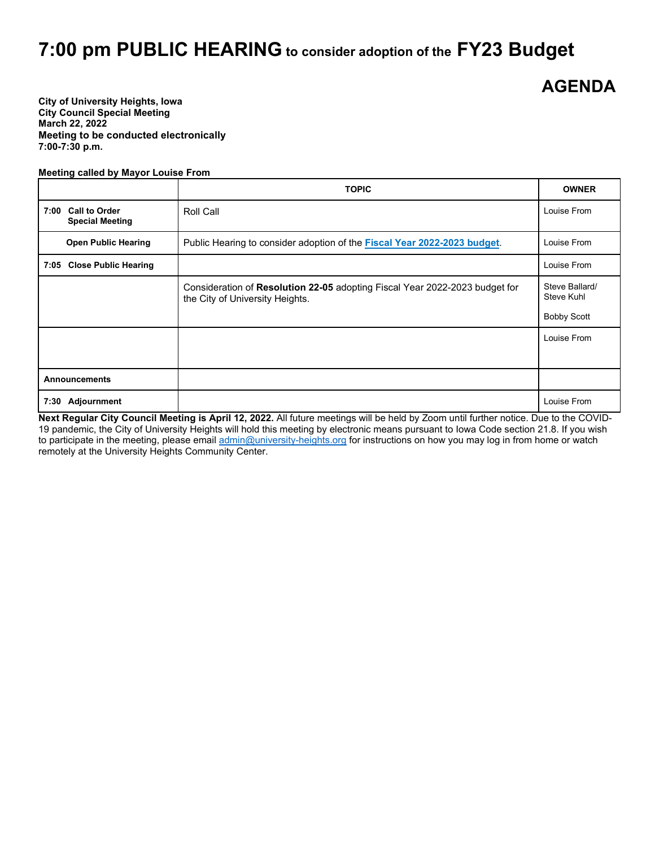## **7:00 pm PUBLIC HEARING to consider adoption of the FY23 Budget**

## **AGENDA**

**City of University Heights, Iowa City Council Special Meeting March 22, 2022 Meeting to be conducted electronically 7:00-7:30 p.m.**

## **Meeting called by Mayor Louise From**

|                                              | <b>TOPIC</b>                                                                                                   | <b>OWNER</b>                        |
|----------------------------------------------|----------------------------------------------------------------------------------------------------------------|-------------------------------------|
| 7:00 Call to Order<br><b>Special Meeting</b> | Roll Call                                                                                                      | Louise From                         |
| <b>Open Public Hearing</b>                   | Public Hearing to consider adoption of the <b>Fiscal Year 2022-2023 budget</b> .                               | Louise From                         |
| 7:05 Close Public Hearing                    |                                                                                                                | Louise From                         |
|                                              | Consideration of Resolution 22-05 adopting Fiscal Year 2022-2023 budget for<br>the City of University Heights. | Steve Ballard/<br><b>Steve Kuhl</b> |
|                                              |                                                                                                                | <b>Bobby Scott</b>                  |
|                                              |                                                                                                                | Louise From                         |
| <b>Announcements</b>                         |                                                                                                                |                                     |
| Adjournment<br>7:30                          |                                                                                                                | Louise From                         |

**Next Regular City Council Meeting is April 12, 2022.** All future meetings will be held by Zoom until further notice. Due to the COVID-19 pandemic, the City of University Heights will hold this meeting by electronic means pursuant to Iowa Code section 21.8. If you wish to participate in the meeting, please emai[l admin@university-heights.org](mailto:admin@university-heights.org) for instructions on how you may log in from home or watch remotely at the University Heights Community Center.